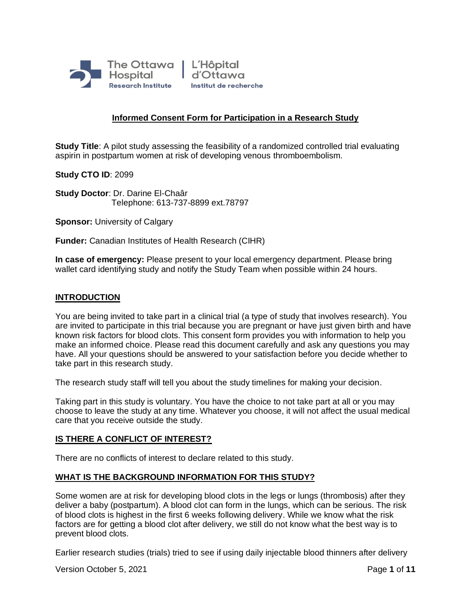

# **Informed Consent Form for Participation in a Research Study**

**Study Title**: A pilot study assessing the feasibility of a randomized controlled trial evaluating aspirin in postpartum women at risk of developing venous thromboembolism*.*

**Study CTO ID**: 2099

**Study Doctor**: Dr. Darine El-Chaâr Telephone: 613-737-8899 ext.78797

**Sponsor: University of Calgary** 

**Funder:** Canadian Institutes of Health Research (CIHR)

**In case of emergency:** Please present to your local emergency department. Please bring wallet card identifying study and notify the Study Team when possible within 24 hours.

### **INTRODUCTION**

You are being invited to take part in a clinical trial (a type of study that involves research). You are invited to participate in this trial because you are pregnant or have just given birth and have known risk factors for blood clots. This consent form provides you with information to help you make an informed choice. Please read this document carefully and ask any questions you may have. All your questions should be answered to your satisfaction before you decide whether to take part in this research study.

The research study staff will tell you about the study timelines for making your decision.

Taking part in this study is voluntary. You have the choice to not take part at all or you may choose to leave the study at any time. Whatever you choose, it will not affect the usual medical care that you receive outside the study.

## **IS THERE A CONFLICT OF INTEREST?**

There are no conflicts of interest to declare related to this study.

## **WHAT IS THE BACKGROUND INFORMATION FOR THIS STUDY?**

Some women are at risk for developing blood clots in the legs or lungs (thrombosis) after they deliver a baby (postpartum). A blood clot can form in the lungs, which can be serious. The risk of blood clots is highest in the first 6 weeks following delivery. While we know what the risk factors are for getting a blood clot after delivery, we still do not know what the best way is to prevent blood clots.

Earlier research studies (trials) tried to see if using daily injectable blood thinners after delivery

Version October 5, 2021 **Page 1** of **11** Page **1** of **11**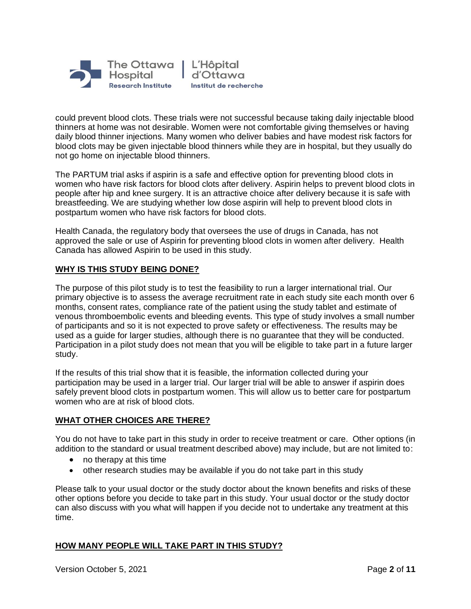

could prevent blood clots. These trials were not successful because taking daily injectable blood thinners at home was not desirable. Women were not comfortable giving themselves or having daily blood thinner injections. Many women who deliver babies and have modest risk factors for blood clots may be given injectable blood thinners while they are in hospital, but they usually do not go home on injectable blood thinners.

The PARTUM trial asks if aspirin is a safe and effective option for preventing blood clots in women who have risk factors for blood clots after delivery. Aspirin helps to prevent blood clots in people after hip and knee surgery. It is an attractive choice after delivery because it is safe with breastfeeding. We are studying whether low dose aspirin will help to prevent blood clots in postpartum women who have risk factors for blood clots.

Health Canada, the regulatory body that oversees the use of drugs in Canada, has not approved the sale or use of Aspirin for preventing blood clots in women after delivery. Health Canada has allowed Aspirin to be used in this study.

## **WHY IS THIS STUDY BEING DONE?**

The purpose of this pilot study is to test the feasibility to run a larger international trial. Our primary objective is to assess the average recruitment rate in each study site each month over 6 months, consent rates, compliance rate of the patient using the study tablet and estimate of venous thromboembolic events and bleeding events. This type of study involves a small number of participants and so it is not expected to prove safety or effectiveness. The results may be used as a guide for larger studies, although there is no guarantee that they will be conducted. Participation in a pilot study does not mean that you will be eligible to take part in a future larger study.

If the results of this trial show that it is feasible, the information collected during your participation may be used in a larger trial. Our larger trial will be able to answer if aspirin does safely prevent blood clots in postpartum women. This will allow us to better care for postpartum women who are at risk of blood clots.

# **WHAT OTHER CHOICES ARE THERE?**

You do not have to take part in this study in order to receive treatment or care. Other options (in addition to the standard or usual treatment described above) may include, but are not limited to:

- no therapy at this time
- other research studies may be available if you do not take part in this study

Please talk to your usual doctor or the study doctor about the known benefits and risks of these other options before you decide to take part in this study. Your usual doctor or the study doctor can also discuss with you what will happen if you decide not to undertake any treatment at this time.

# **HOW MANY PEOPLE WILL TAKE PART IN THIS STUDY?**

Version October 5, 2021 **Page 2** of **11**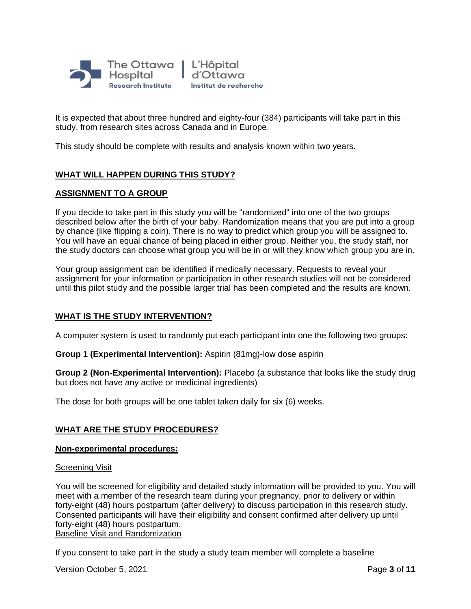

It is expected that about three hundred and eighty-four (384) participants will take part in this study, from research sites across Canada and in Europe.

This study should be complete with results and analysis known within two years.

# **WHAT WILL HAPPEN DURING THIS STUDY?**

# **ASSIGNMENT TO A GROUP**

If you decide to take part in this study you will be "randomized" into one of the two groups described below after the birth of your baby. Randomization means that you are put into a group by chance (like flipping a coin). There is no way to predict which group you will be assigned to. You will have an equal chance of being placed in either group. Neither you, the study staff, nor the study doctors can choose what group you will be in or will they know which group you are in.

Your group assignment can be identified if medically necessary. Requests to reveal your assignment for your information or participation in other research studies will not be considered until this pilot study and the possible larger trial has been completed and the results are known.

## **WHAT IS THE STUDY INTERVENTION?**

A computer system is used to randomly put each participant into one the following two groups:

**Group 1 (Experimental Intervention):** Aspirin (81mg)-low dose aspirin

**Group 2 (Non-Experimental Intervention):** Placebo (a substance that looks like the study drug but does not have any active or medicinal ingredients)

The dose for both groups will be one tablet taken daily for six (6) weeks.

## **WHAT ARE THE STUDY PROCEDURES?**

#### **Non-experimental procedures:**

#### Screening Visit

You will be screened for eligibility and detailed study information will be provided to you. You will meet with a member of the research team during your pregnancy, prior to delivery or within forty-eight (48) hours postpartum (after delivery) to discuss participation in this research study. Consented participants will have their eligibility and consent confirmed after delivery up until forty-eight (48) hours postpartum. Baseline Visit and Randomization

If you consent to take part in the study a study team member will complete a baseline

Version October 5, 2021 **Page 3** of **11**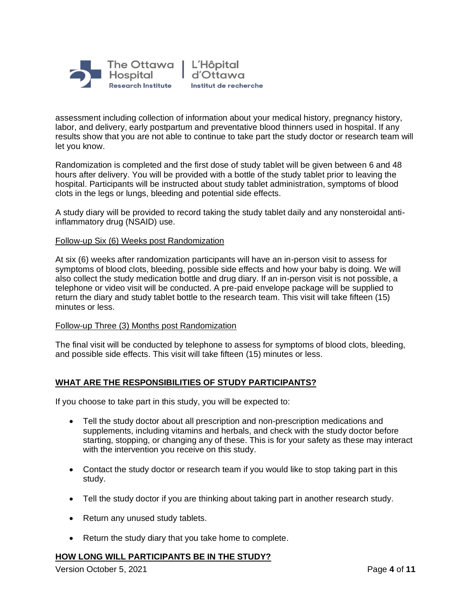

assessment including collection of information about your medical history, pregnancy history, labor, and delivery, early postpartum and preventative blood thinners used in hospital. If any results show that you are not able to continue to take part the study doctor or research team will let you know.

Randomization is completed and the first dose of study tablet will be given between 6 and 48 hours after delivery. You will be provided with a bottle of the study tablet prior to leaving the hospital. Participants will be instructed about study tablet administration, symptoms of blood clots in the legs or lungs, bleeding and potential side effects.

A study diary will be provided to record taking the study tablet daily and any nonsteroidal antiinflammatory drug (NSAID) use.

### Follow-up Six (6) Weeks post Randomization

At six (6) weeks after randomization participants will have an in-person visit to assess for symptoms of blood clots, bleeding, possible side effects and how your baby is doing. We will also collect the study medication bottle and drug diary. If an in-person visit is not possible, a telephone or video visit will be conducted. A pre-paid envelope package will be supplied to return the diary and study tablet bottle to the research team. This visit will take fifteen (15) minutes or less.

#### Follow-up Three (3) Months post Randomization

The final visit will be conducted by telephone to assess for symptoms of blood clots, bleeding, and possible side effects. This visit will take fifteen (15) minutes or less.

## **WHAT ARE THE RESPONSIBILITIES OF STUDY PARTICIPANTS?**

If you choose to take part in this study, you will be expected to:

- Tell the study doctor about all prescription and non-prescription medications and supplements, including vitamins and herbals, and check with the study doctor before starting, stopping, or changing any of these. This is for your safety as these may interact with the intervention you receive on this study.
- Contact the study doctor or research team if you would like to stop taking part in this study.
- Tell the study doctor if you are thinking about taking part in another research study.
- Return any unused study tablets.
- Return the study diary that you take home to complete.

#### **HOW LONG WILL PARTICIPANTS BE IN THE STUDY?**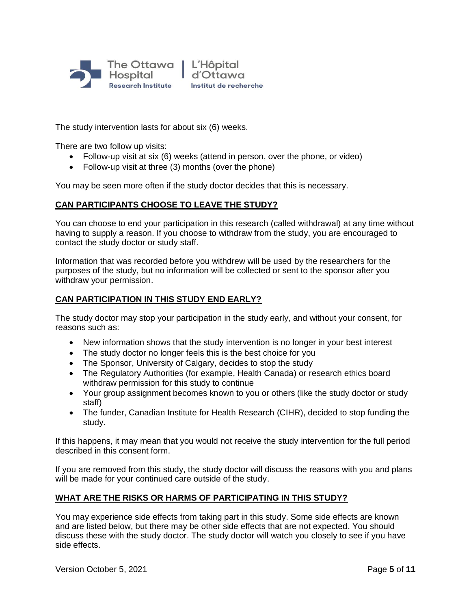

The study intervention lasts for about six (6) weeks.

There are two follow up visits:

- Follow-up visit at six (6) weeks (attend in person, over the phone, or video)
- Follow-up visit at three (3) months (over the phone)

You may be seen more often if the study doctor decides that this is necessary.

## **CAN PARTICIPANTS CHOOSE TO LEAVE THE STUDY?**

You can choose to end your participation in this research (called withdrawal) at any time without having to supply a reason. If you choose to withdraw from the study, you are encouraged to contact the study doctor or study staff.

Information that was recorded before you withdrew will be used by the researchers for the purposes of the study, but no information will be collected or sent to the sponsor after you withdraw your permission.

## **CAN PARTICIPATION IN THIS STUDY END EARLY?**

The study doctor may stop your participation in the study early, and without your consent, for reasons such as:

- New information shows that the study intervention is no longer in your best interest
- The study doctor no longer feels this is the best choice for you
- The Sponsor, University of Calgary, decides to stop the study
- The Regulatory Authorities (for example, Health Canada) or research ethics board withdraw permission for this study to continue
- Your group assignment becomes known to you or others (like the study doctor or study staff)
- The funder, Canadian Institute for Health Research (CIHR), decided to stop funding the study.

If this happens, it may mean that you would not receive the study intervention for the full period described in this consent form.

If you are removed from this study, the study doctor will discuss the reasons with you and plans will be made for your continued care outside of the study.

## **WHAT ARE THE RISKS OR HARMS OF PARTICIPATING IN THIS STUDY?**

You may experience side effects from taking part in this study. Some side effects are known and are listed below, but there may be other side effects that are not expected. You should discuss these with the study doctor. The study doctor will watch you closely to see if you have side effects.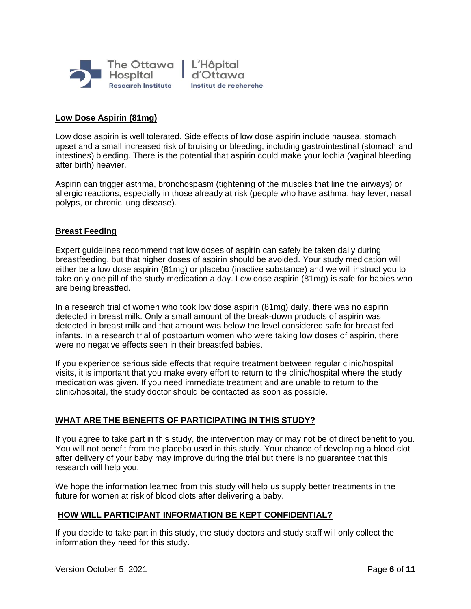

# **Low Dose Aspirin (81mg)**

Low dose aspirin is well tolerated. Side effects of low dose aspirin include nausea, stomach upset and a small increased risk of bruising or bleeding, including gastrointestinal (stomach and intestines) bleeding. There is the potential that aspirin could make your lochia (vaginal bleeding after birth) heavier.

Aspirin can trigger asthma, bronchospasm (tightening of the muscles that line the airways) or allergic reactions, especially in those already at risk (people who have asthma, hay fever, nasal polyps, or chronic lung disease).

## **Breast Feeding**

Expert guidelines recommend that low doses of aspirin can safely be taken daily during breastfeeding, but that higher doses of aspirin should be avoided. Your study medication will either be a low dose aspirin (81mg) or placebo (inactive substance) and we will instruct you to take only one pill of the study medication a day. Low dose aspirin (81mg) is safe for babies who are being breastfed.

In a research trial of women who took low dose aspirin (81mg) daily, there was no aspirin detected in breast milk. Only a small amount of the break-down products of aspirin was detected in breast milk and that amount was below the level considered safe for breast fed infants. In a research trial of postpartum women who were taking low doses of aspirin, there were no negative effects seen in their breastfed babies.

If you experience serious side effects that require treatment between regular clinic/hospital visits, it is important that you make every effort to return to the clinic/hospital where the study medication was given. If you need immediate treatment and are unable to return to the clinic/hospital, the study doctor should be contacted as soon as possible.

## **WHAT ARE THE BENEFITS OF PARTICIPATING IN THIS STUDY?**

If you agree to take part in this study, the intervention may or may not be of direct benefit to you. You will not benefit from the placebo used in this study. Your chance of developing a blood clot after delivery of your baby may improve during the trial but there is no guarantee that this research will help you.

We hope the information learned from this study will help us supply better treatments in the future for women at risk of blood clots after delivering a baby.

#### **HOW WILL PARTICIPANT INFORMATION BE KEPT CONFIDENTIAL?**

If you decide to take part in this study, the study doctors and study staff will only collect the information they need for this study.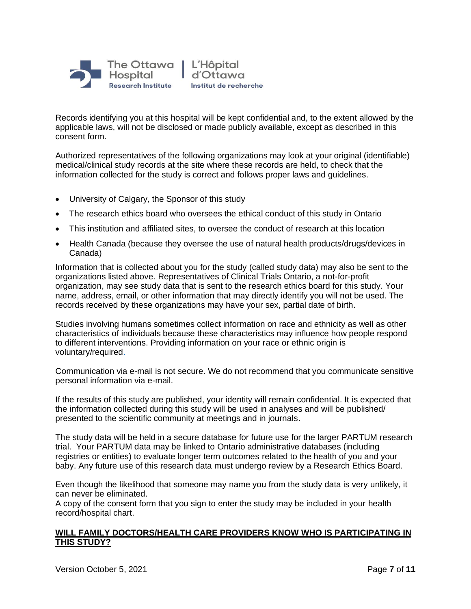

Records identifying you at this hospital will be kept confidential and, to the extent allowed by the applicable laws, will not be disclosed or made publicly available, except as described in this consent form.

Authorized representatives of the following organizations may look at your original (identifiable) medical/clinical study records at the site where these records are held, to check that the information collected for the study is correct and follows proper laws and guidelines.

- University of Calgary, the Sponsor of this study
- The research ethics board who oversees the ethical conduct of this study in Ontario
- This institution and affiliated sites, to oversee the conduct of research at this location
- Health Canada (because they oversee the use of natural health products/drugs/devices in Canada)

Information that is collected about you for the study (called study data) may also be sent to the organizations listed above. Representatives of Clinical Trials Ontario, a not-for-profit organization, may see study data that is sent to the research ethics board for this study. Your name, address, email, or other information that may directly identify you will not be used. The records received by these organizations may have your sex, partial date of birth.

Studies involving humans sometimes collect information on race and ethnicity as well as other characteristics of individuals because these characteristics may influence how people respond to different interventions. Providing information on your race or ethnic origin is voluntary/required.

Communication via e-mail is not secure. We do not recommend that you communicate sensitive personal information via e-mail.

If the results of this study are published, your identity will remain confidential. It is expected that the information collected during this study will be used in analyses and will be published/ presented to the scientific community at meetings and in journals.

The study data will be held in a secure database for future use for the larger PARTUM research trial. Your PARTUM data may be linked to Ontario administrative databases (including registries or entities) to evaluate longer term outcomes related to the health of you and your baby. Any future use of this research data must undergo review by a Research Ethics Board.

Even though the likelihood that someone may name you from the study data is very unlikely, it can never be eliminated.

A copy of the consent form that you sign to enter the study may be included in your health record/hospital chart.

## **WILL FAMILY DOCTORS/HEALTH CARE PROVIDERS KNOW WHO IS PARTICIPATING IN THIS STUDY?**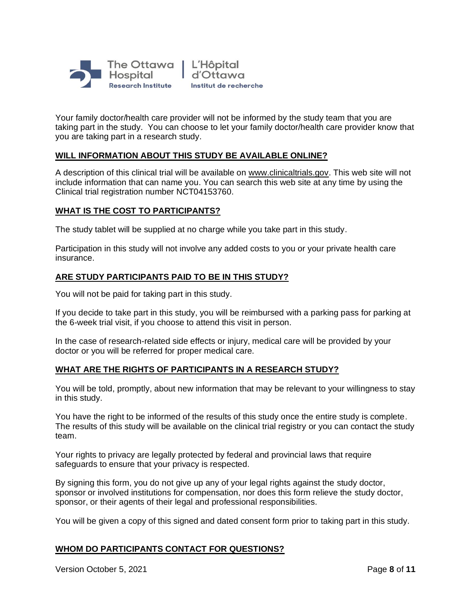

Your family doctor/health care provider will not be informed by the study team that you are taking part in the study. You can choose to let your family doctor/health care provider know that you are taking part in a research study.

# **WILL INFORMATION ABOUT THIS STUDY BE AVAILABLE ONLINE?**

A description of this clinical trial will be available on [www.clinicaltrials.gov.](http://www.clinicaltrials.gov/) This web site will not include information that can name you. You can search this web site at any time by using the Clinical trial registration number NCT04153760.

### **WHAT IS THE COST TO PARTICIPANTS?**

The study tablet will be supplied at no charge while you take part in this study.

Participation in this study will not involve any added costs to you or your private health care insurance.

## **ARE STUDY PARTICIPANTS PAID TO BE IN THIS STUDY?**

You will not be paid for taking part in this study.

If you decide to take part in this study, you will be reimbursed with a parking pass for parking at the 6-week trial visit, if you choose to attend this visit in person.

In the case of research-related side effects or injury, medical care will be provided by your doctor or you will be referred for proper medical care.

## **WHAT ARE THE RIGHTS OF PARTICIPANTS IN A RESEARCH STUDY?**

You will be told, promptly, about new information that may be relevant to your willingness to stay in this study.

You have the right to be informed of the results of this study once the entire study is complete. The results of this study will be available on the clinical trial registry or you can contact the study team.

Your rights to privacy are legally protected by federal and provincial laws that require safeguards to ensure that your privacy is respected.

By signing this form, you do not give up any of your legal rights against the study doctor, sponsor or involved institutions for compensation, nor does this form relieve the study doctor, sponsor, or their agents of their legal and professional responsibilities.

You will be given a copy of this signed and dated consent form prior to taking part in this study.

# **WHOM DO PARTICIPANTS CONTACT FOR QUESTIONS?**

Version October 5, 2021 **Page 8** of **11**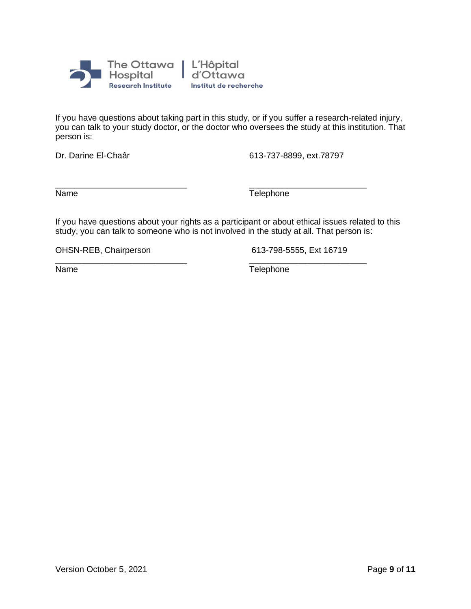

If you have questions about taking part in this study, or if you suffer a research-related injury, you can talk to your study doctor, or the doctor who oversees the study at this institution. That person is:

Dr. Darine El-Chaâr 613-737-8899, ext.78797

\_\_\_\_\_\_\_\_\_\_\_\_\_\_\_\_\_\_\_\_\_\_\_\_\_\_\_\_ \_\_\_\_\_\_\_\_\_\_\_\_\_\_\_\_\_\_\_\_\_\_\_\_\_ Name Telephone

If you have questions about your rights as a participant or about ethical issues related to this study, you can talk to someone who is not involved in the study at all. That person is:

OHSN-REB, Chairperson 613-798-5555, Ext 16719

\_\_\_\_\_\_\_\_\_\_\_\_\_\_\_\_\_\_\_\_\_\_\_\_\_\_\_\_ \_\_\_\_\_\_\_\_\_\_\_\_\_\_\_\_\_\_\_\_\_\_\_\_\_ Name Telephone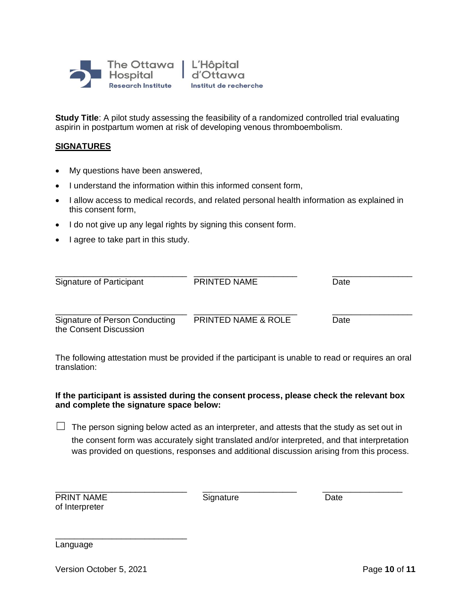

**Study Title**: A pilot study assessing the feasibility of a randomized controlled trial evaluating aspirin in postpartum women at risk of developing venous thromboembolism*.* 

# **SIGNATURES**

- My questions have been answered,
- I understand the information within this informed consent form,
- I allow access to medical records, and related personal health information as explained in this consent form,
- I do not give up any legal rights by signing this consent form.
- I agree to take part in this study.

| Signature of Participant       | <b>PRINTED NAME</b>            | Date |  |
|--------------------------------|--------------------------------|------|--|
| Signature of Person Conducting | <b>PRINTED NAME &amp; ROLE</b> | Date |  |
| the Consent Discussion         |                                |      |  |

The following attestation must be provided if the participant is unable to read or requires an oral translation:

# **If the participant is assisted during the consent process, please check the relevant box and complete the signature space below:**

 $\Box$  The person signing below acted as an interpreter, and attests that the study as set out in the consent form was accurately sight translated and/or interpreted, and that interpretation was provided on questions, responses and additional discussion arising from this process.

|                |  | <b>PRINT NAME</b> |
|----------------|--|-------------------|
| of Interpreter |  |                   |

**Print Signature Date** Date

\_\_\_\_\_\_\_\_\_\_\_\_\_\_\_\_\_\_\_\_\_\_\_\_\_\_\_\_ \_\_ \_\_\_\_\_\_\_\_\_\_\_\_ \_\_\_\_\_\_\_\_\_\_\_\_\_\_\_\_\_

Language

Version October 5, 2021 **Page 10** of **11** 

\_\_\_\_\_\_\_\_\_\_\_\_\_\_\_\_\_\_\_\_\_\_\_\_\_\_\_\_